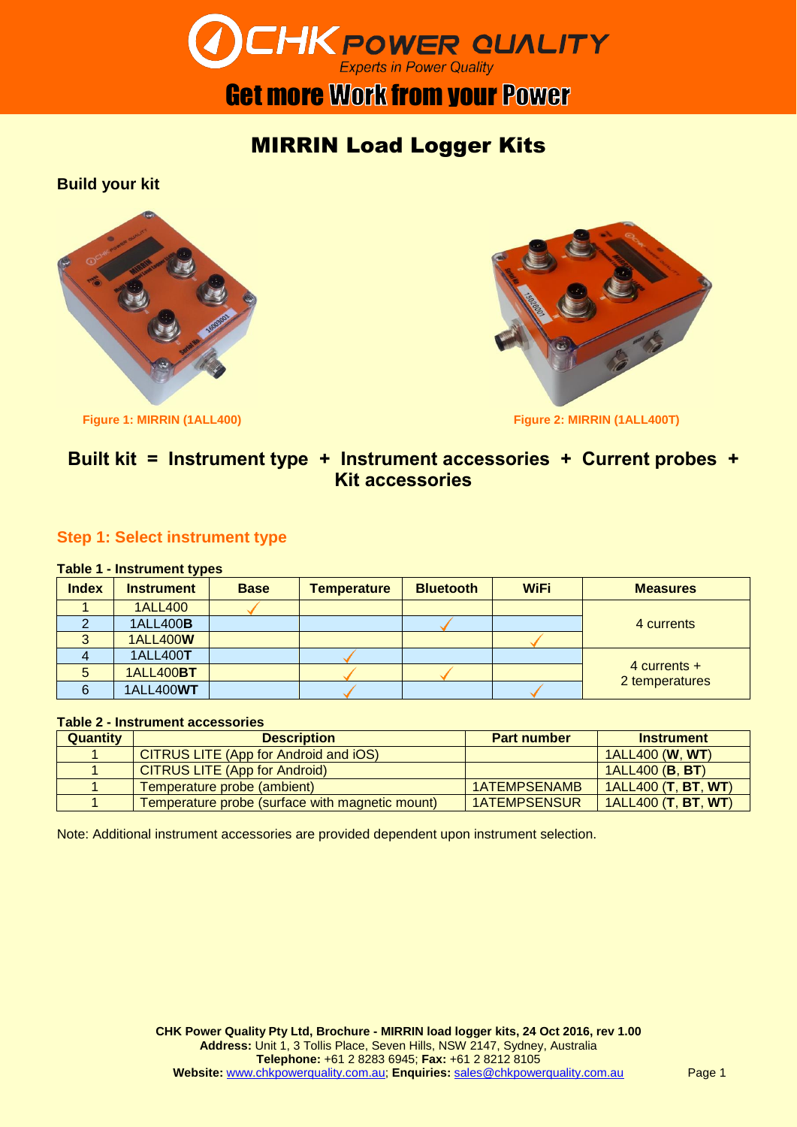

# **Get more Work from your Power**

# MIRRIN Load Logger Kits

**Build your kit**





# **Built kit = Instrument type + Instrument accessories + Current probes + Kit accessories**

# **Step 1: Select instrument type**

#### **Table 1 - Instrument types**

| <b>Index</b> | <b>Instrument</b> | <b>Base</b> | <b>Temperature</b> | <b>Bluetooth</b> | <b>WiFi</b> | <b>Measures</b>                  |  |  |
|--------------|-------------------|-------------|--------------------|------------------|-------------|----------------------------------|--|--|
|              | <b>1ALL400</b>    |             |                    |                  |             |                                  |  |  |
|              | 1ALL400 <b>B</b>  |             |                    |                  |             | 4 currents                       |  |  |
| $\Omega$     | <b>1ALL400W</b>   |             |                    |                  |             |                                  |  |  |
|              | 1ALL400T          |             |                    |                  |             | $4$ currents +<br>2 temperatures |  |  |
| 5            | <b>1ALL400BT</b>  |             |                    |                  |             |                                  |  |  |
| 6            | <b>1ALL400WT</b>  |             |                    |                  |             |                                  |  |  |

#### **Table 2 - Instrument accessories**

| <b>Quantity</b> | <b>Description</b>                              | <b>Part number</b>  | <b>Instrument</b>          |
|-----------------|-------------------------------------------------|---------------------|----------------------------|
|                 | CITRUS LITE (App for Android and iOS)           |                     | 1ALL400 ( <b>W. WT</b> )   |
|                 | <b>CITRUS LITE (App for Android)</b>            |                     | 1ALL400 (B, BT)            |
|                 | Temperature probe (ambient)                     | <b>1ATEMPSENAMB</b> | <b>1ALL400 (T, BT, WT)</b> |
|                 | Temperature probe (surface with magnetic mount) | <b>1ATEMPSENSUR</b> | 1ALL400 (T, BT, WT)        |

Note: Additional instrument accessories are provided dependent upon instrument selection.